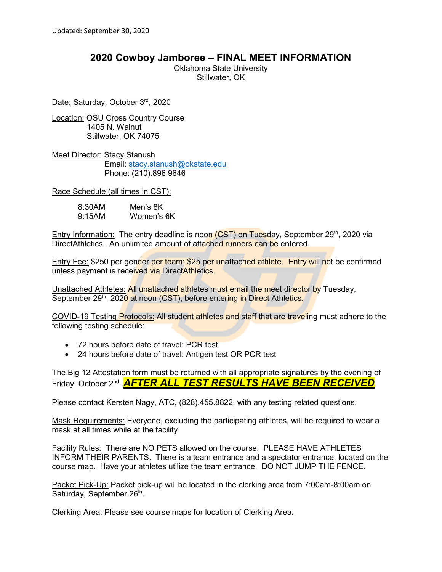## **2020 Cowboy Jamboree – FINAL MEET INFORMATION**

Oklahoma State University Stillwater, OK

Date: Saturday, October 3rd, 2020

Location: OSU Cross Country Course 1405 N. Walnut Stillwater, OK 74075

**Meet Director: Stacy Stanush**  Email: [stacy.stanush@okstate.edu](mailto:stacy.stanush@okstate.edu) Phone: (210).896.9646

Race Schedule (all times in CST):

| 8:30AM | Men's 8K   |
|--------|------------|
| 9:15AM | Women's 6K |

Entry Information: The entry deadline is noon  $(CST)$  on Tuesday, September 29<sup>th</sup>, 2020 via DirectAthletics. An unlimited amount of attached runners can be entered.

Entry Fee: \$250 per gender per team; \$25 per unattached athlete. Entry will not be confirmed unless payment is received via DirectAthletics.

Unattached Athletes: All unattached athletes must email the meet director by Tuesday, September 29<sup>th</sup>, 2020 at noon (CST), before entering in Direct Athletics.

COVID-19 Testing Protocols: All student athletes and staff that are traveling must adhere to the following testing schedule:

- 72 hours before date of travel: PCR test
- 24 hours before date of travel: Antigen test OR PCR test

The Big 12 Attestation form must be returned with all appropriate signatures by the evening of Friday, October 2nd, *AFTER ALL TEST RESULTS HAVE BEEN RECEIVED*.

Please contact Kersten Nagy, ATC, (828).455.8822, with any testing related questions.

Mask Requirements: Everyone, excluding the participating athletes, will be required to wear a mask at all times while at the facility.

Facility Rules: There are NO PETS allowed on the course. PLEASE HAVE ATHLETES INFORM THEIR PARENTS. There is a team entrance and a spectator entrance, located on the course map. Have your athletes utilize the team entrance. DO NOT JUMP THE FENCE.

Packet Pick-Up: Packet pick-up will be located in the clerking area from 7:00am-8:00am on Saturday, September 26<sup>th</sup>.

Clerking Area: Please see course maps for location of Clerking Area.